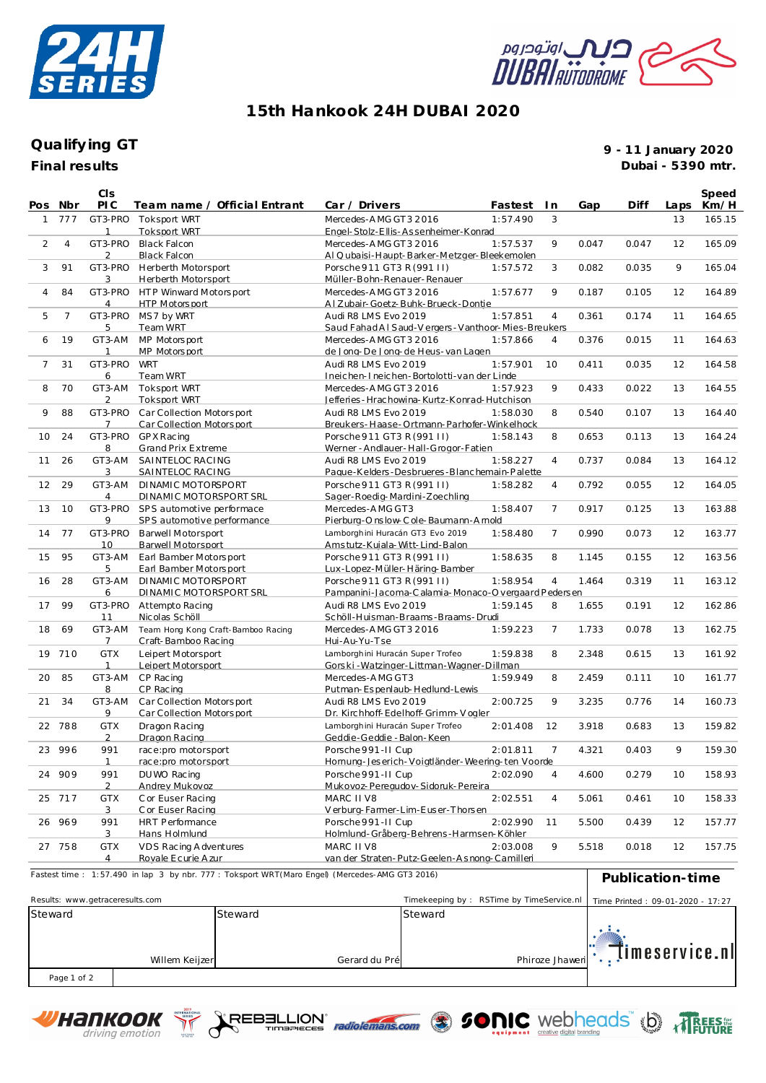



## **15th Hankook 24H DUBAI 2020**

## **Final results Qualify ing GT**

**9 - 11 January 2020 Dubai - 5390 mtr.**

timeservice.nl

 $\ddot{\cdot}$ 

| Pos Nbr                                                                                       |                | CIS<br><b>PIC</b>               | Team name / Official Entrant                        | Car / Drivers                                                          | Fastest  | I n            | Gap   | Diff                             | Laps | Speed<br>Km/H |
|-----------------------------------------------------------------------------------------------|----------------|---------------------------------|-----------------------------------------------------|------------------------------------------------------------------------|----------|----------------|-------|----------------------------------|------|---------------|
| $\mathbf{1}$                                                                                  | 777            |                                 | GT3-PRO Toksport WRT                                | Mercedes-AMG GT3 2016                                                  | 1:57.490 | 3              |       |                                  | 13   | 165.15        |
|                                                                                               |                | 1                               | <b>Toksport WRT</b>                                 | Engel-Stolz-Ellis-Assenheimer-Konrad                                   |          |                |       |                                  |      |               |
| $\overline{2}$                                                                                | 4              | GT3-PRO<br>2                    | <b>Black Falcon</b><br><b>Black Falcon</b>          | Mercedes-AMG GT3 2016<br>AI Qubaisi-Haupt-Barker-Metzger-Bleekemolen   | 1:57.537 | 9              | 0.047 | 0.047                            | 12   | 165.09        |
| 3                                                                                             | 91             | GT3-PRO                         | Herberth Motorsport                                 | Porsche 911 GT3 R (991 II)                                             | 1:57.572 | 3              | 0.082 | 0.035                            | 9    | 165.04        |
|                                                                                               |                | 3                               | <b>Herberth Motorsport</b>                          | Müller-Bohn-Renauer-Renauer                                            |          |                |       |                                  |      |               |
| $\overline{4}$                                                                                | 84             |                                 | GT3-PRO HTP Winward Motorsport                      | Mercedes-AMG GT3 2016                                                  | 1:57.677 | 9              | 0.187 | 0.105                            | 12   | 164.89        |
|                                                                                               |                | 4                               | HTP Motors port                                     | Al Zubair-Goetz-Buhk-Brueck-Dontie                                     |          |                |       |                                  |      |               |
| 5                                                                                             | $\overline{7}$ |                                 | GT3-PRO MS7 by WRT                                  | Audi R8 LMS Evo 2019                                                   | 1:57.851 | $\overline{4}$ | 0.361 | 0.174                            | 11   | 164.65        |
|                                                                                               |                | 5                               | Team WRT                                            | Saud Fahad AI Saud-V ergers - Vanthoor-Mies-Breukers                   |          |                |       |                                  |      |               |
| 6                                                                                             | 19             | GT3-AM                          | MP Motorsport                                       | Mercedes-AMG GT3 2016                                                  | 1:57.866 | 4              | 0.376 | 0.015                            | 11   | 164.63        |
|                                                                                               |                | 1                               | MP Motors port                                      | de Jona-De Jona-de Heus-van Lagen                                      |          |                |       |                                  |      |               |
| $\overline{7}$                                                                                | 31             | GT3-PRO                         | <b>WRT</b>                                          | Audi R8 LMS Evo 2019                                                   | 1:57.901 | 10             | 0.411 | 0.035                            | 12   | 164.58        |
|                                                                                               |                | 6                               | Team WRT                                            | Ineichen-Ineichen-Bortolotti-van der Linde                             |          |                |       |                                  |      |               |
| 8                                                                                             | 70             | GT3-AM<br>2                     | Toksport WRT<br><b>Toksport WRT</b>                 | Mercedes-AMG GT3 2016<br>Jefferies - Hrachowina-Kurtz-Konrad-Hutchison | 1:57.923 | 9              | 0.433 | 0.022                            | 13   | 164.55        |
| 9                                                                                             | 88             |                                 | GT3-PRO Car Collection Motorsport                   | Audi R8 LMS Evo 2019                                                   | 1:58.030 | 8              | 0.540 | 0.107                            | 13   | 164.40        |
|                                                                                               |                | 7                               | Car Collection Motorsport                           | Breukers-Haase-Ortmann-Parhofer-Winkelhock                             |          |                |       |                                  |      |               |
| 10                                                                                            | 24             | GT3-PRO                         | GP X Rac ing                                        | Porsche 911 GT3 R (991 II)                                             | 1:58.143 | 8              | 0.653 | 0.113                            | 13   | 164.24        |
|                                                                                               |                | 8                               | <b>Grand Prix Extreme</b>                           | Werner - Andlauer - Hall-Grogor-Fatien                                 |          |                |       |                                  |      |               |
| 11                                                                                            | 26             | GT3-AM                          | SAINTELOC RACING                                    | Audi R8 LMS Evo 2019                                                   | 1:58.227 | $\overline{4}$ | 0.737 | 0.084                            | 13   | 164.12        |
|                                                                                               |                | 3                               | SAINTELOC RACING                                    | Paque-Kelders-Desbrueres-Blanchemain-Palette                           |          |                |       |                                  |      |               |
| 12                                                                                            | 29             | GT3-AM                          | DINAMIC MOTORSPORT                                  | Porsche 911 GT3 R (991 II)                                             | 1:58.282 | 4              | 0.792 | 0.055                            | 12   | 164.05        |
|                                                                                               |                | 4                               | DINAMIC MOTORSPORT SRL                              | Sager-Roedig-Mardini-Zoechling                                         |          |                |       |                                  |      |               |
| 13                                                                                            | 10             | GT3-PRO                         | SPS automotive performace                           | Mercedes-AMG GT3                                                       | 1:58.407 | $\overline{7}$ | 0.917 | 0.125                            | 13   | 163.88        |
|                                                                                               |                | 9                               | SPS automotive performance                          | Pierburg-Onslow-Cole-Baumann-Amold                                     |          |                |       |                                  |      |               |
| 14                                                                                            | 77             | GT3-PRO<br>10                   | <b>Barwell Motorsport</b>                           | Lamborghini Huracán GT3 Evo 2019                                       | 1:58.480 | $\overline{7}$ | 0.990 | 0.073                            | 12   | 163.77        |
| 15                                                                                            | 95             | GT3-AM                          | <b>Barwell Motorsport</b><br>Earl Bamber Motorsport | Amstutz-Kuiala-Witt-Lind-Balon<br>Porsche 911 GT3 R (991 II)           | 1:58.635 | 8              | 1.145 | 0.155                            | 12   | 163.56        |
|                                                                                               |                | 5                               | Earl Bamber Motorsport                              | Lux-Lopez-Müller-Häring-Bamber                                         |          |                |       |                                  |      |               |
| 16                                                                                            | 28             | GT3-AM                          | DINAMIC MOTORSPORT                                  | Porsche 911 GT3 R (991 II)                                             | 1:58.954 | $\overline{4}$ | 1.464 | 0.319                            | 11   | 163.12        |
|                                                                                               |                | 6                               | DINAMIC MOTORSPORT SRL                              | Pampanini-Jacoma-Calamia-Monaco-O vergaard Pedersen                    |          |                |       |                                  |      |               |
| 17                                                                                            | 99             | GT3-PRO                         | Attempto Racing                                     | Audi R8 LMS Evo 2019                                                   | 1:59.145 | 8              | 1.655 | 0.191                            | 12   | 162.86        |
|                                                                                               |                | 11                              | Nicolas Schöll                                      | Schöll-Huisman-Braams-Braams-Drudi                                     |          |                |       |                                  |      |               |
| 18                                                                                            | 69             | GT3-AM                          | Team Hong Kong Craft-Bamboo Racing                  | Mercedes-AMG GT3 2016                                                  | 1:59.223 | 7              | 1.733 | 0.078                            | 13   | 162.75        |
|                                                                                               |                | 7                               | Craft-Bamboo Racing                                 | Hui-Au-Yu-Tse                                                          |          |                |       |                                  |      |               |
|                                                                                               | 19 710         | <b>GTX</b>                      | Leipert Motorsport                                  | Lamborghini Huracán Super Trofeo                                       | 1:59.838 | 8              | 2.348 | 0.615                            | 13   | 161.92        |
|                                                                                               |                | $\mathbf{1}$                    | Leipert Motorsport                                  | Gorski-Watzinger-Littman-Wagner-Dillman                                |          |                |       |                                  |      |               |
| 20                                                                                            | 85             | GT3-AM<br>8                     | CP Racing<br>CP Racing                              | Mercedes-AMG GT3<br>Putman-Espenlaub-Hedlund-Lewis                     | 1:59.949 | 8              | 2.459 | 0.111                            | 10   | 161.77        |
| 21                                                                                            | 34             | GT3-AM                          | Car Collection Motorsport                           | Audi R8 LMS Evo 2019                                                   | 2:00.725 | 9              | 3.235 | 0.776                            | 14   | 160.73        |
|                                                                                               |                | 9                               | Car Collection Motorsport                           | Dr. Kirchhoff-Edelhoff-Grimm-Voaler                                    |          |                |       |                                  |      |               |
| 22                                                                                            | 788            | <b>GTX</b>                      | Dragon Racing                                       | Lamborghini Huracán Super Trofeo                                       | 2:01.408 | 12             | 3.918 | 0.683                            | 13   | 159.82        |
|                                                                                               |                | $\overline{2}$                  | Dragon Racing                                       | Geddie-Geddie - Balon-Keen                                             |          |                |       |                                  |      |               |
|                                                                                               | 23 996         | 991                             | race:pro motorsport                                 | Porsche 991-II Cup                                                     | 2:01.811 | $\overline{7}$ | 4.321 | 0.403                            | 9    | 159.30        |
|                                                                                               |                | $\mathbf{1}$                    | race:pro motorsport                                 | Homung-Jeserich-Voigtländer-Weering-ten Voorde                         |          |                |       |                                  |      |               |
|                                                                                               | 24 909         | 991                             | DU WO Racing                                        | Porsche 991-II Cup                                                     | 2:02.090 | 4              | 4.600 | 0.279                            | 10   | 158.93        |
|                                                                                               |                | 2                               | Andrey Mukovoz                                      | Mukovoz-Peregudov-Sidoruk-Pereira                                      |          |                |       |                                  |      |               |
|                                                                                               | 25 717         | <b>GTX</b>                      | C or Euser Racing                                   | MARC II V8                                                             | 2:02.551 | 4              | 5.061 | 0.461                            | 10   | 158.33        |
|                                                                                               |                | 3                               | C or Euser Racing                                   | Verburg-Farmer-Lim-Euser-Thorsen                                       |          |                |       |                                  |      |               |
|                                                                                               | 26 969         | 991<br>3                        | HRT Performance                                     | Porsche 991-II Cup<br>Holmlund-Gråberg-Behrens-Harmsen-Köhler          | 2:02.990 | 11             | 5.500 | 0.439                            | 12   | 157.77        |
|                                                                                               | 27 758         | <b>GTX</b>                      | Hans Holmlund<br>VDS Racing A dventures             | MARC II V8                                                             | 2:03.008 | 9              | 5.518 | 0.018                            | 12   | 157.75        |
|                                                                                               |                | 4                               | Rovale Ecurie A zur                                 | van der Straten-Putz-Geelen-Asnong-Camilleri                           |          |                |       |                                  |      |               |
| Fastest time: 1:57.490 in lap 3 by nbr. 777: Toksport WRT(Maro Engel) (Mercedes-AMG GT3 2016) |                |                                 |                                                     |                                                                        |          |                |       |                                  |      |               |
| Publication-time                                                                              |                |                                 |                                                     |                                                                        |          |                |       |                                  |      |               |
|                                                                                               |                | Results: www.getraceresults.com |                                                     | Timekeeping by: RSTime by TimeService.nl                               |          |                |       |                                  |      |               |
| Steward                                                                                       |                |                                 | Steward                                             | Steward                                                                |          |                |       | Time Printed: 09-01-2020 - 17:27 |      |               |
|                                                                                               |                |                                 |                                                     |                                                                        |          |                | я.    |                                  |      |               |
|                                                                                               |                |                                 |                                                     |                                                                        |          |                |       |                                  |      |               |



Page 1 of 2





Willem Keijzer **Phiroze Jhaweri** Gerard du Pré **Phiroze Jhaweri** Phiroze Jhaweri

Gerard du Pré